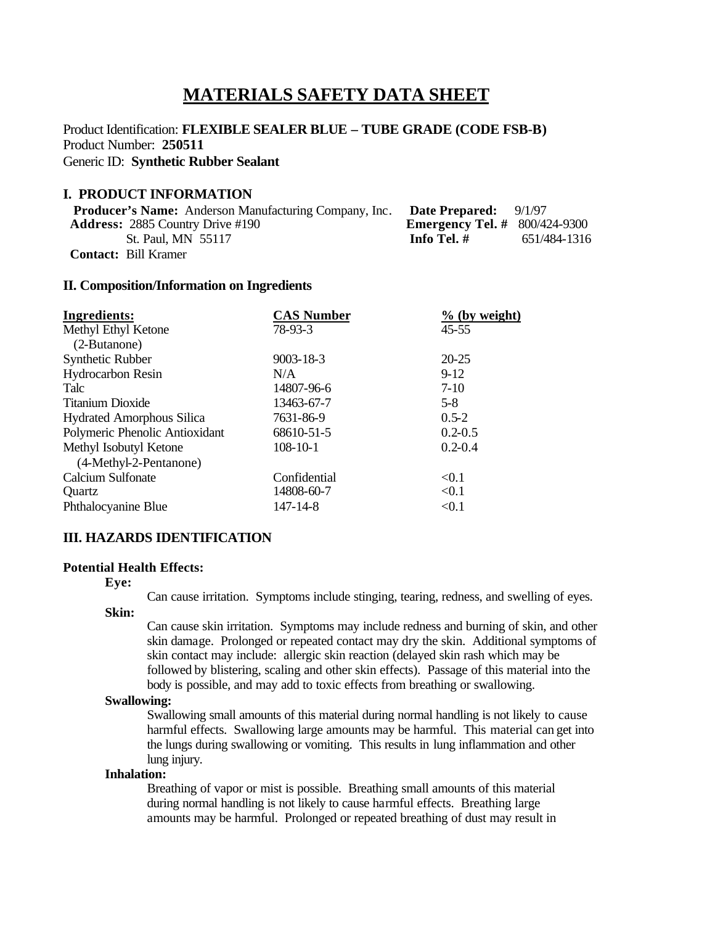# **MATERIALS SAFETY DATA SHEET**

# Product Identification: **FLEXIBLE SEALER BLUE – TUBE GRADE (CODE FSB-B)** Product Number: **250511** Generic ID: **Synthetic Rubber Sealant**

# **I. PRODUCT INFORMATION**

| <b>Producer's Name:</b> Anderson Manufacturing Company, Inc. | <b>Date Prepared:</b> $9/1/97$         |              |
|--------------------------------------------------------------|----------------------------------------|--------------|
| <b>Address:</b> 2885 Country Drive #190                      | <b>Emergency Tel.</b> # $800/424-9300$ |              |
| St. Paul, MN 55117                                           | Info Tel. #                            | 651/484-1316 |
| <b>Contact:</b> Bill Kramer                                  |                                        |              |

#### **II. Composition/Information on Ingredients**

| <b>Ingredients:</b>              | <b>CAS Number</b> | $%$ (by weight) |
|----------------------------------|-------------------|-----------------|
| Methyl Ethyl Ketone              | 78-93-3           | $45 - 55$       |
| (2-Butanone)                     |                   |                 |
| Synthetic Rubber                 | $9003 - 18 - 3$   | $20 - 25$       |
| <b>Hydrocarbon Resin</b>         | N/A               | $9-12$          |
| Talc                             | 14807-96-6        | $7-10$          |
| <b>Titanium Dioxide</b>          | 13463-67-7        | $5-8$           |
| <b>Hydrated Amorphous Silica</b> | 7631-86-9         | $0.5 - 2$       |
| Polymeric Phenolic Antioxidant   | 68610-51-5        | $0.2 - 0.5$     |
| Methyl Isobutyl Ketone           | $108 - 10 - 1$    | $0.2 - 0.4$     |
| (4-Methyl-2-Pentanone)           |                   |                 |
| Calcium Sulfonate                | Confidential      | < 0.1           |
| <b>Ouartz</b>                    | 14808-60-7        | < 0.1           |
| Phthalocyanine Blue              | 147-14-8          | < 0.1           |

### **III. HAZARDS IDENTIFICATION**

#### **Potential Health Effects:**

**Eye:**

Can cause irritation. Symptoms include stinging, tearing, redness, and swelling of eyes.

#### **Skin:**

Can cause skin irritation. Symptoms may include redness and burning of skin, and other skin damage. Prolonged or repeated contact may dry the skin. Additional symptoms of skin contact may include: allergic skin reaction (delayed skin rash which may be followed by blistering, scaling and other skin effects). Passage of this material into the body is possible, and may add to toxic effects from breathing or swallowing.

#### **Swallowing:**

Swallowing small amounts of this material during normal handling is not likely to cause harmful effects. Swallowing large amounts may be harmful. This material can get into the lungs during swallowing or vomiting. This results in lung inflammation and other lung injury.

#### **Inhalation:**

Breathing of vapor or mist is possible. Breathing small amounts of this material during normal handling is not likely to cause harmful effects. Breathing large amounts may be harmful. Prolonged or repeated breathing of dust may result in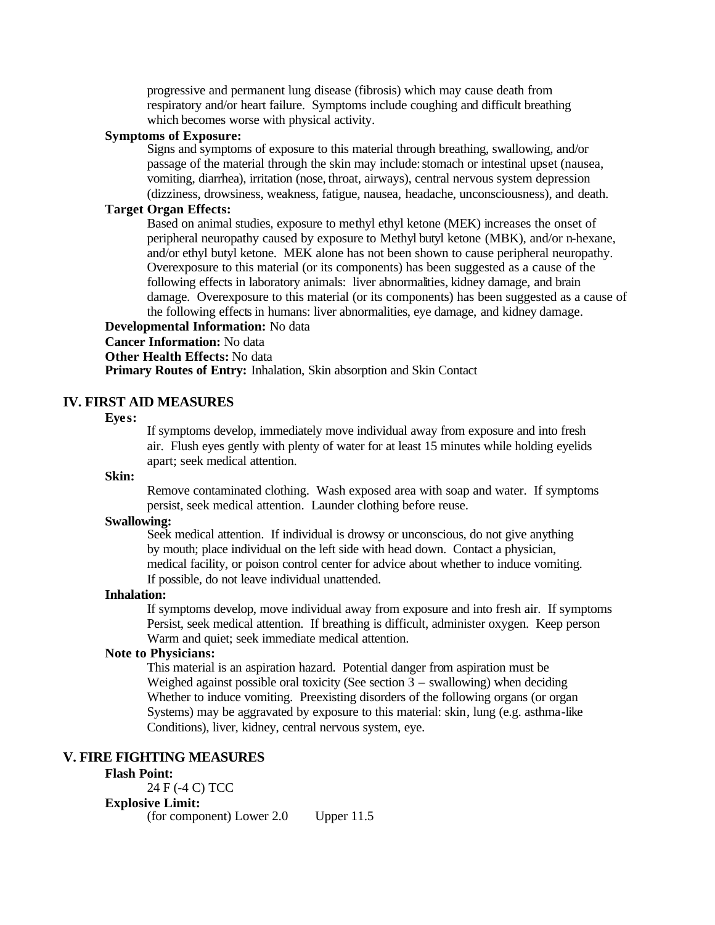progressive and permanent lung disease (fibrosis) which may cause death from respiratory and/or heart failure. Symptoms include coughing and difficult breathing which becomes worse with physical activity.

#### **Symptoms of Exposure:**

Signs and symptoms of exposure to this material through breathing, swallowing, and/or passage of the material through the skin may include:stomach or intestinal upset (nausea, vomiting, diarrhea), irritation (nose, throat, airways), central nervous system depression (dizziness, drowsiness, weakness, fatigue, nausea, headache, unconsciousness), and death.

# **Target Organ Effects:**

Based on animal studies, exposure to methyl ethyl ketone (MEK) increases the onset of peripheral neuropathy caused by exposure to Methyl butyl ketone (MBK), and/or n-hexane, and/or ethyl butyl ketone. MEK alone has not been shown to cause peripheral neuropathy. Overexposure to this material (or its components) has been suggested as a cause of the following effects in laboratory animals: liver abnormalities, kidney damage, and brain damage. Overexposure to this material (or its components) has been suggested as a cause of the following effects in humans: liver abnormalities, eye damage, and kidney damage.

# **Developmental Information:** No data

# **Cancer Information:** No data

**Other Health Effects:** No data

**Primary Routes of Entry:** Inhalation, Skin absorption and Skin Contact

# **IV. FIRST AID MEASURES**

#### **Eyes:**

If symptoms develop, immediately move individual away from exposure and into fresh air. Flush eyes gently with plenty of water for at least 15 minutes while holding eyelids apart; seek medical attention.

## **Skin:**

Remove contaminated clothing. Wash exposed area with soap and water. If symptoms persist, seek medical attention. Launder clothing before reuse.

### **Swallowing:**

Seek medical attention. If individual is drowsy or unconscious, do not give anything by mouth; place individual on the left side with head down. Contact a physician, medical facility, or poison control center for advice about whether to induce vomiting. If possible, do not leave individual unattended.

#### **Inhalation:**

If symptoms develop, move individual away from exposure and into fresh air. If symptoms Persist, seek medical attention. If breathing is difficult, administer oxygen. Keep person Warm and quiet; seek immediate medical attention.

# **Note to Physicians:**

This material is an aspiration hazard. Potential danger from aspiration must be Weighed against possible oral toxicity (See section  $3$  – swallowing) when deciding Whether to induce vomiting. Preexisting disorders of the following organs (or organ Systems) may be aggravated by exposure to this material: skin, lung (e.g. asthma-like Conditions), liver, kidney, central nervous system, eye.

# **V. FIRE FIGHTING MEASURES**

# **Flash Point:**

24 F (-4 C) TCC **Explosive Limit:** (for component) Lower 2.0 Upper 11.5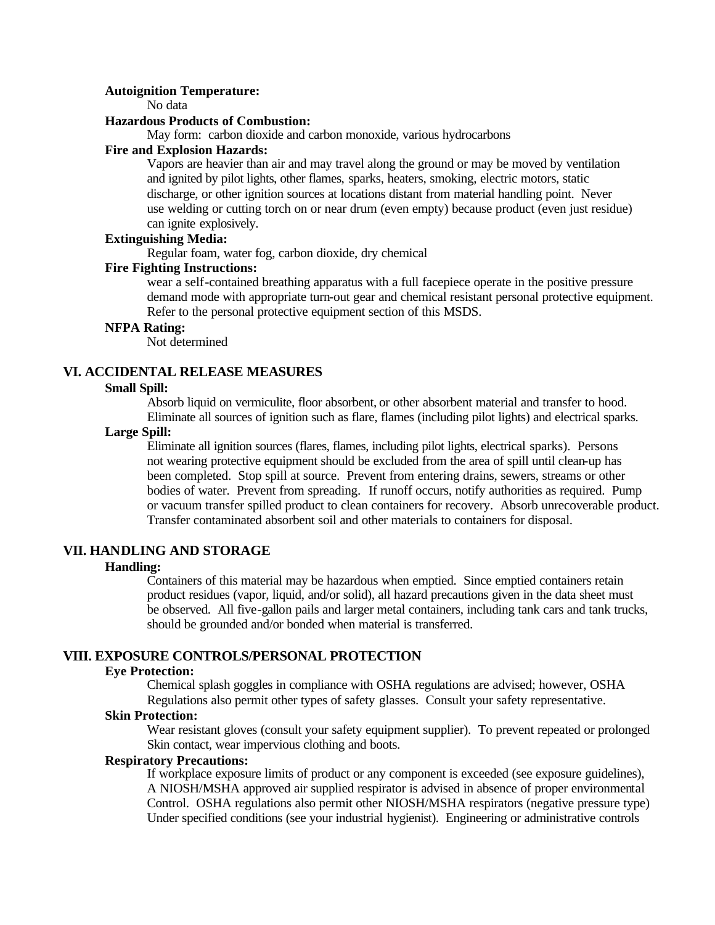#### **Autoignition Temperature:**

No data

#### **Hazardous Products of Combustion:**

May form: carbon dioxide and carbon monoxide, various hydrocarbons

# **Fire and Explosion Hazards:**

Vapors are heavier than air and may travel along the ground or may be moved by ventilation and ignited by pilot lights, other flames, sparks, heaters, smoking, electric motors, static discharge, or other ignition sources at locations distant from material handling point. Never use welding or cutting torch on or near drum (even empty) because product (even just residue) can ignite explosively.

# **Extinguishing Media:**

Regular foam, water fog, carbon dioxide, dry chemical

## **Fire Fighting Instructions:**

wear a self-contained breathing apparatus with a full facepiece operate in the positive pressure demand mode with appropriate turn-out gear and chemical resistant personal protective equipment. Refer to the personal protective equipment section of this MSDS.

# **NFPA Rating:**

Not determined

# **VI. ACCIDENTAL RELEASE MEASURES**

#### **Small Spill:**

Absorb liquid on vermiculite, floor absorbent, or other absorbent material and transfer to hood. Eliminate all sources of ignition such as flare, flames (including pilot lights) and electrical sparks.

#### **Large Spill:**

Eliminate all ignition sources (flares, flames, including pilot lights, electrical sparks). Persons not wearing protective equipment should be excluded from the area of spill until clean-up has been completed. Stop spill at source. Prevent from entering drains, sewers, streams or other bodies of water. Prevent from spreading. If runoff occurs, notify authorities as required. Pump or vacuum transfer spilled product to clean containers for recovery. Absorb unrecoverable product. Transfer contaminated absorbent soil and other materials to containers for disposal.

### **VII. HANDLING AND STORAGE**

#### **Handling:**

Containers of this material may be hazardous when emptied. Since emptied containers retain product residues (vapor, liquid, and/or solid), all hazard precautions given in the data sheet must be observed. All five-gallon pails and larger metal containers, including tank cars and tank trucks, should be grounded and/or bonded when material is transferred.

# **VIII. EXPOSURE CONTROLS/PERSONAL PROTECTION**

## **Eye Protection:**

Chemical splash goggles in compliance with OSHA regulations are advised; however, OSHA Regulations also permit other types of safety glasses. Consult your safety representative.

#### **Skin Protection:**

Wear resistant gloves (consult your safety equipment supplier). To prevent repeated or prolonged Skin contact, wear impervious clothing and boots.

## **Respiratory Precautions:**

If workplace exposure limits of product or any component is exceeded (see exposure guidelines), A NIOSH/MSHA approved air supplied respirator is advised in absence of proper environmental Control. OSHA regulations also permit other NIOSH/MSHA respirators (negative pressure type) Under specified conditions (see your industrial hygienist). Engineering or administrative controls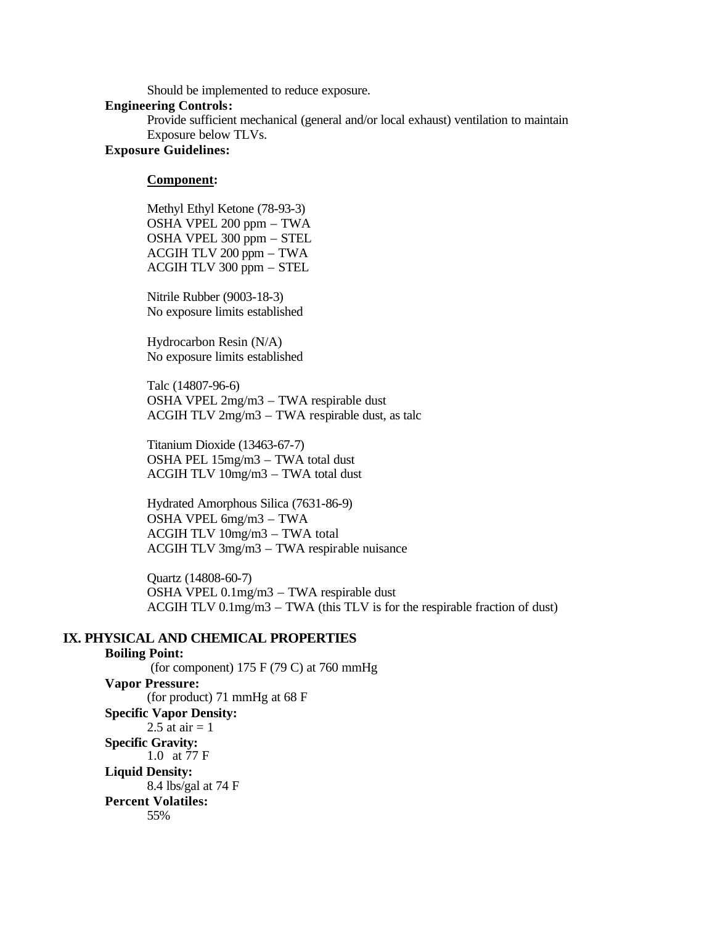Should be implemented to reduce exposure.

#### **Engineering Controls:**

Provide sufficient mechanical (general and/or local exhaust) ventilation to maintain Exposure below TLVs.

## **Exposure Guidelines:**

## **Component:**

Methyl Ethyl Ketone (78-93-3) OSHA VPEL 200 ppm – TWA OSHA VPEL 300 ppm – STEL ACGIH TLV 200 ppm – TWA ACGIH TLV 300 ppm – STEL

Nitrile Rubber (9003-18-3) No exposure limits established

Hydrocarbon Resin (N/A) No exposure limits established

Talc (14807-96-6) OSHA VPEL 2mg/m3 – TWA respirable dust ACGIH TLV 2mg/m3 – TWA respirable dust, as talc

Titanium Dioxide (13463-67-7) OSHA PEL 15mg/m3 – TWA total dust ACGIH TLV 10mg/m3 – TWA total dust

Hydrated Amorphous Silica (7631-86-9) OSHA VPEL 6mg/m3 – TWA ACGIH TLV 10mg/m3 – TWA total ACGIH TLV 3mg/m3 – TWA respirable nuisance

Quartz (14808-60-7) OSHA VPEL 0.1mg/m3 – TWA respirable dust ACGIH TLV 0.1mg/m3 – TWA (this TLV is for the respirable fraction of dust)

# **IX. PHYSICAL AND CHEMICAL PROPERTIES**

**Boiling Point:**  (for component) 175 F (79 C) at 760 mmHg **Vapor Pressure:** (for product) 71 mmHg at 68 F **Specific Vapor Density:** 2.5 at air  $= 1$ **Specific Gravity:** 1.0 at 77 F **Liquid Density:** 8.4 lbs/gal at 74 F **Percent Volatiles:** 55%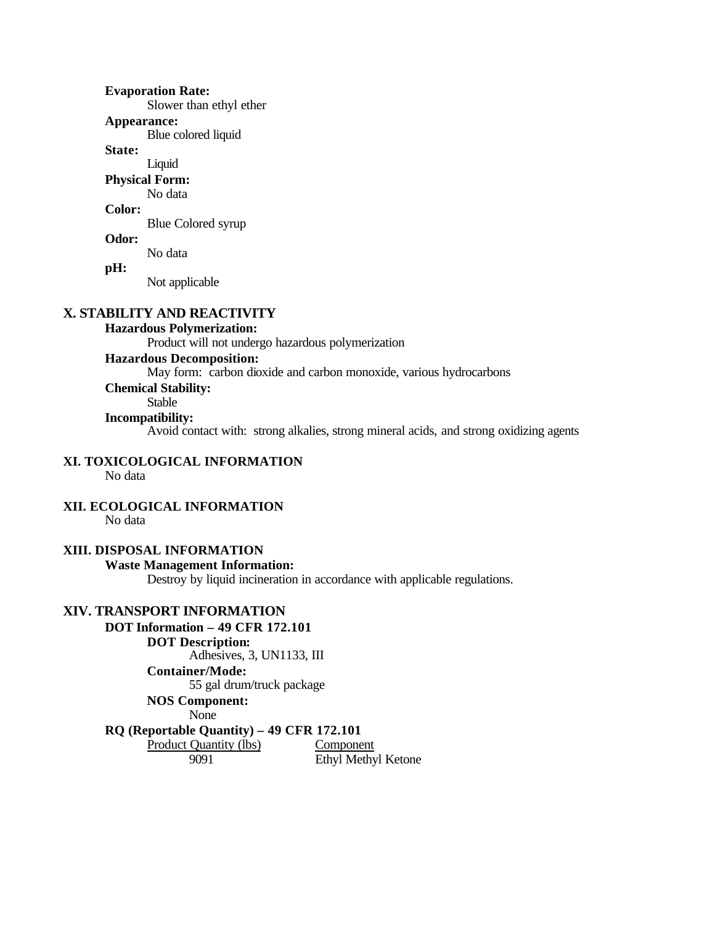**Evaporation Rate:** Slower than ethyl ether **Appearance:** Blue colored liquid **State:** Liquid **Physical Form:** No data **Color:** Blue Colored syrup **Odor:** No data **pH:** Not applicable

# **X. STABILITY AND REACTIVITY**

# **Hazardous Polymerization:**

Product will not undergo hazardous polymerization

# **Hazardous Decomposition:**

May form: carbon dioxide and carbon monoxide, various hydrocarbons

# **Chemical Stability:**

# Stable

# **Incompatibility:**

Avoid contact with: strong alkalies, strong mineral acids, and strong oxidizing agents

# **XI. TOXICOLOGICAL INFORMATION**

No data

#### **XII. ECOLOGICAL INFORMATION**

No data

# **XIII. DISPOSAL INFORMATION**

# **Waste Management Information:**

Destroy by liquid incineration in accordance with applicable regulations.

# **XIV. TRANSPORT INFORMATION**

**DOT Information – 49 CFR 172.101 DOT Description:** Adhesives, 3, UN1133, III **Container/Mode:** 55 gal drum/truck package **NOS Component:** None **RQ (Reportable Quantity) – 49 CFR 172.101** Product Quantity (lbs) Component

9091 Ethyl Methyl Ketone